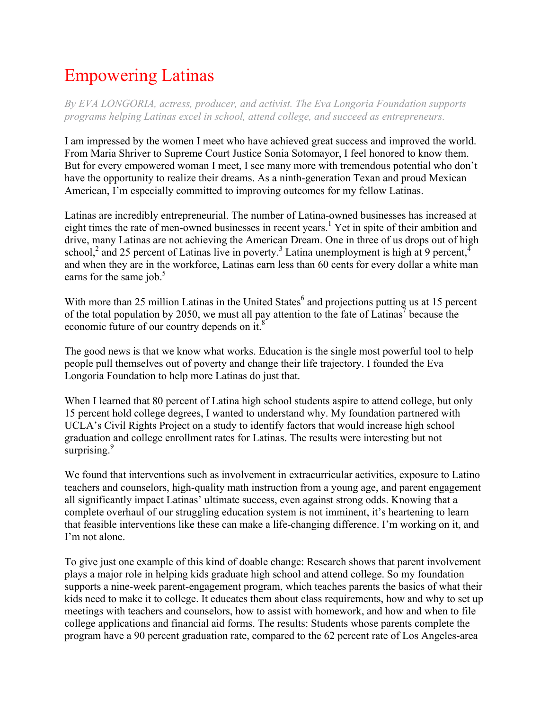## Empowering Latinas

*By EVA LONGORIA, actress, producer, and activist. The Eva Longoria Foundation supports programs helping Latinas excel in school, attend college, and succeed as entrepreneurs.*

I am impressed by the women I meet who have achieved great success and improved the world. From Maria Shriver to Supreme Court Justice Sonia Sotomayor, I feel honored to know them. But for every empowered woman I meet, I see many more with tremendous potential who don't have the opportunity to realize their dreams. As a ninth-generation Texan and proud Mexican American, I'm especially committed to improving outcomes for my fellow Latinas.

Latinas are incredibly entrepreneurial. The number of Latina-owned businesses has increased at eight times the rate of men-owned businesses in recent years.<sup>1</sup> Yet in spite of their ambition and drive, many Latinas are not achieving the American Dream. One in three of us drops out of high school,<sup>2</sup> and 25 percent of Latinas live in poverty.<sup>3</sup> Latina unemployment is high at 9 percent,<sup>4</sup> and when they are in the workforce, Latinas earn less than 60 cents for every dollar a white man earns for the same job. $5$ 

With more than 25 million Latinas in the United States<sup>6</sup> and projections putting us at 15 percent of the total population by 2050, we must all pay attention to the fate of Latinas<sup>7</sup> because the economic future of our country depends on it.<sup>8</sup>

The good news is that we know what works. Education is the single most powerful tool to help people pull themselves out of poverty and change their life trajectory. I founded the Eva Longoria Foundation to help more Latinas do just that.

When I learned that 80 percent of Latina high school students aspire to attend college, but only 15 percent hold college degrees, I wanted to understand why. My foundation partnered with UCLA's Civil Rights Project on a study to identify factors that would increase high school graduation and college enrollment rates for Latinas. The results were interesting but not surprising. $9$ 

We found that interventions such as involvement in extracurricular activities, exposure to Latino teachers and counselors, high-quality math instruction from a young age, and parent engagement all significantly impact Latinas' ultimate success, even against strong odds. Knowing that a complete overhaul of our struggling education system is not imminent, it's heartening to learn that feasible interventions like these can make a life-changing difference. I'm working on it, and I'm not alone.

To give just one example of this kind of doable change: Research shows that parent involvement plays a major role in helping kids graduate high school and attend college. So my foundation supports a nine-week parent-engagement program, which teaches parents the basics of what their kids need to make it to college. It educates them about class requirements, how and why to set up meetings with teachers and counselors, how to assist with homework, and how and when to file college applications and financial aid forms. The results: Students whose parents complete the program have a 90 percent graduation rate, compared to the 62 percent rate of Los Angeles-area